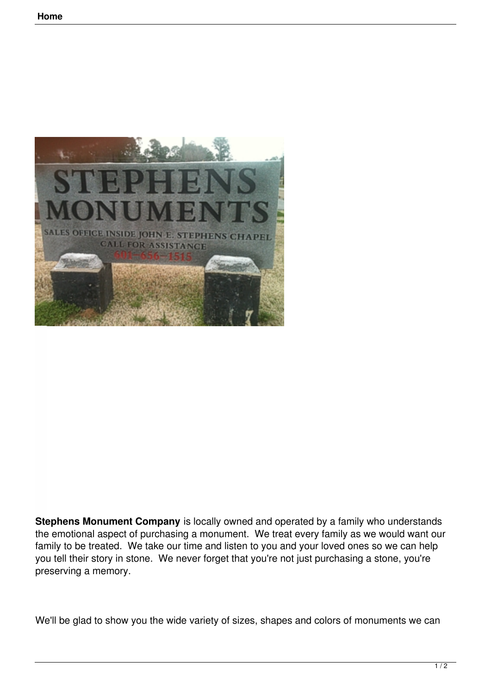

**Stephens Monument Company** is locally owned and operated by a family who understands the emotional aspect of purchasing a monument. We treat every family as we would want our family to be treated. We take our time and listen to you and your loved ones so we can help you tell their story in stone. We never forget that you're not just purchasing a stone, you're preserving a memory.

We'll be glad to show you the wide variety of sizes, shapes and colors of monuments we can